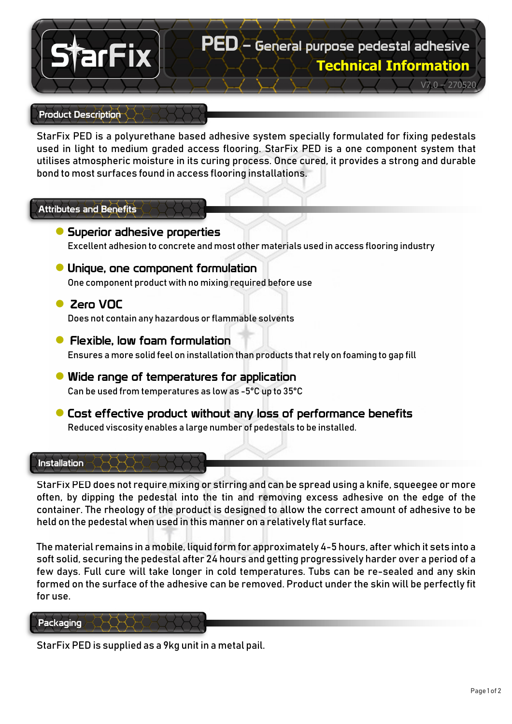# PED – General purpose pedestal adhesive

**Technical Information**

V7.0 – 270520

# Product Description

arFix

StarFix PED is a polyurethane based adhesive system specially formulated for fixing pedestals used in light to medium graded access flooring. StarFix PED is a one component system that utilises atmospheric moisture in its curing process. Once cured, it provides a strong and durable bond to most surfaces found in access flooring installations.

# Attributes and Benefits

- **●** Superior adhesive properties Excellent adhesion to concrete and most other materials used in access flooring industry
- **●** Unique, one component formulation One component product with no mixing required before use
- **●** Zero VOC Does not contain any hazardous or flammable solvents
- **●** Flexible, low foam formulation Ensures a more solid feel on installation than products that rely on foaming to gap fill
- **●** Wide range of temperatures for application Can be used from temperatures as low as -5°C up to 35°C
- **●**Cost effective product without any loss of performance benefits Reduced viscosity enables a large number of pedestals to be installed.

#### Installation

StarFix PED does not require mixing or stirring and can be spread using a knife, squeegee or more often, by dipping the pedestal into the tin and removing excess adhesive on the edge of the container. The rheology of the product is designed to allow the correct amount of adhesive to be held on the pedestal when used in this manner on a relatively flat surface.

The material remains in a mobile, liquid form for approximately 4-5 hours, after which it sets into a soft solid, securing the pedestal after 24 hours and getting progressively harder over a period of a few days. Full cure will take longer in cold temperatures. Tubs can be re-sealed and any skin formed on the surface of the adhesive can be removed. Product under the skin will be perfectly fit for use.

#### Packaging

StarFix PED is supplied as a 9kg unit in a metal pail.